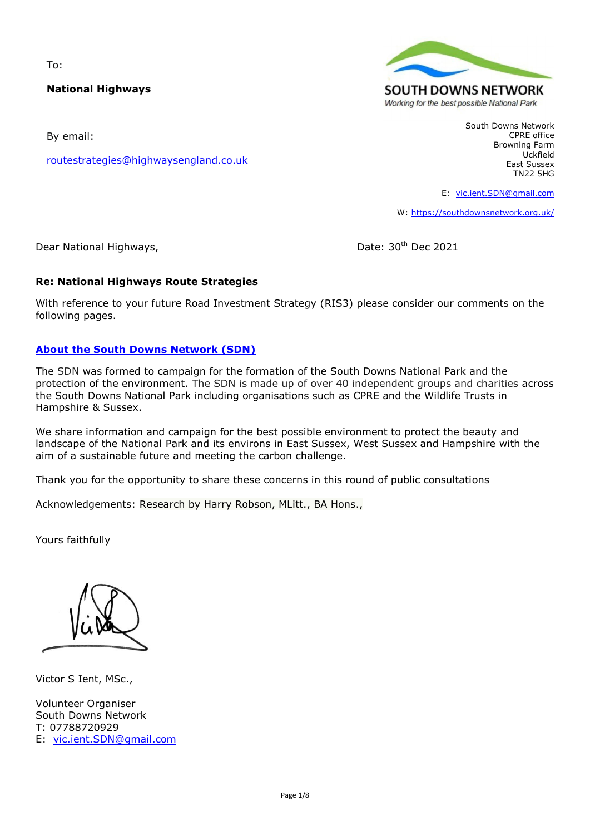To:

### **National Highways**

By email:

[routestrategies@highwaysengland.co.uk](mailto:routestrategies@highwaysengland.co.uk)



South Downs Network CPRE office Browning Farm Uckfield East Sussex TN22 5HG

E: [vic.ient.SDN@gmail.com](mailto:vic.ient.SDN@gmail.com)

W:<https://southdownsnetwork.org.uk/>

Dear National Highways, Dear National Highways,

### **Re: National Highways Route Strategies**

With reference to your future Road Investment Strategy (RIS3) please consider our comments on the following pages.

#### **[About the South Downs Network \(SDN\)](https://southdownsnetwork.org.uk/about/about-south-downs-network/)**

The SDN was formed to campaign for the formation of the South Downs National Park and the protection of the environment. The SDN is made up of over 40 independent groups and charities across the South Downs National Park including organisations such as CPRE and the Wildlife Trusts in Hampshire & Sussex.

We share information and campaign for the best possible environment to protect the beauty and landscape of the National Park and its environs in East Sussex, West Sussex and Hampshire with the aim of a sustainable future and meeting the carbon challenge.

Thank you for the opportunity to share these concerns in this round of public consultations

Acknowledgements: Research by Harry Robson, MLitt., BA Hons.,

Yours faithfully

Victor S Ient, MSc.,

Volunteer Organiser South Downs Network T: 07788720929 E: [vic.ient.SDN@gmail.com](mailto:vic.ient.SDN@gmail.com)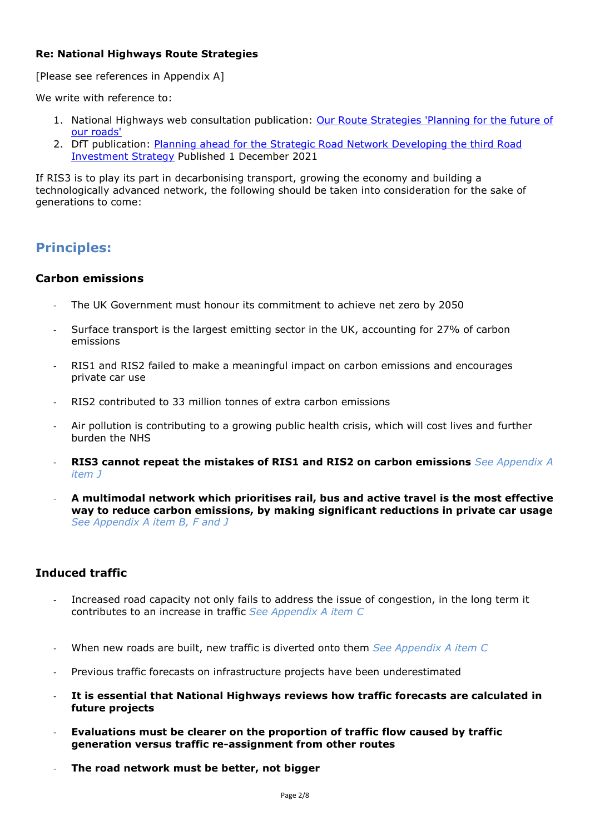### **Re: National Highways Route Strategies**

[Please see references in Appendix A]

We write with reference to:

- 1. National Highways web consultation publication: [Our Route Strategies 'Planning for the future of](https://nationalhighways.co.uk/our-work/our-route-strategies/)  [our roads'](https://nationalhighways.co.uk/our-work/our-route-strategies/)
- 2. DfT publication: [Planning ahead for the Strategic Road Network Developing the third Road](https://assets.publishing.service.gov.uk/government/uploads/system/uploads/attachment_data/file/1037518/planning-ahead-for-the-strategic-road-network-developing-the-third-road-investment-strategy.pdf)  [Investment Strategy](https://assets.publishing.service.gov.uk/government/uploads/system/uploads/attachment_data/file/1037518/planning-ahead-for-the-strategic-road-network-developing-the-third-road-investment-strategy.pdf) Published 1 December 2021

If RIS3 is to play its part in decarbonising transport, growing the economy and building a technologically advanced network, the following should be taken into consideration for the sake of generations to come:

# **Principles:**

## **Carbon emissions**

- The UK Government must honour its commitment to achieve net zero by 2050
- Surface transport is the largest emitting sector in the UK, accounting for 27% of carbon emissions
- RIS1 and RIS2 failed to make a meaningful impact on carbon emissions and encourages private car use
- RIS2 contributed to 33 million tonnes of extra carbon emissions
- Air pollution is contributing to a growing public health crisis, which will cost lives and further burden the NHS
- **RIS3 cannot repeat the mistakes of RIS1 and RIS2 on carbon emissions** *See Appendix A item J*
- **A multimodal network which prioritises rail, bus and active travel is the most effective way to reduce carbon emissions, by making significant reductions in private car usage** *See Appendix A item B, F and J*

# **Induced traffic**

- Increased road capacity not only fails to address the issue of congestion, in the long term it contributes to an increase in traffic *See Appendix A item C*
- When new roads are built, new traffic is diverted onto them *See Appendix A item C*
- Previous traffic forecasts on infrastructure projects have been underestimated
- **It is essential that National Highways reviews how traffic forecasts are calculated in future projects**
- **Evaluations must be clearer on the proportion of traffic flow caused by traffic generation versus traffic re-assignment from other routes**
- **The road network must be better, not bigger**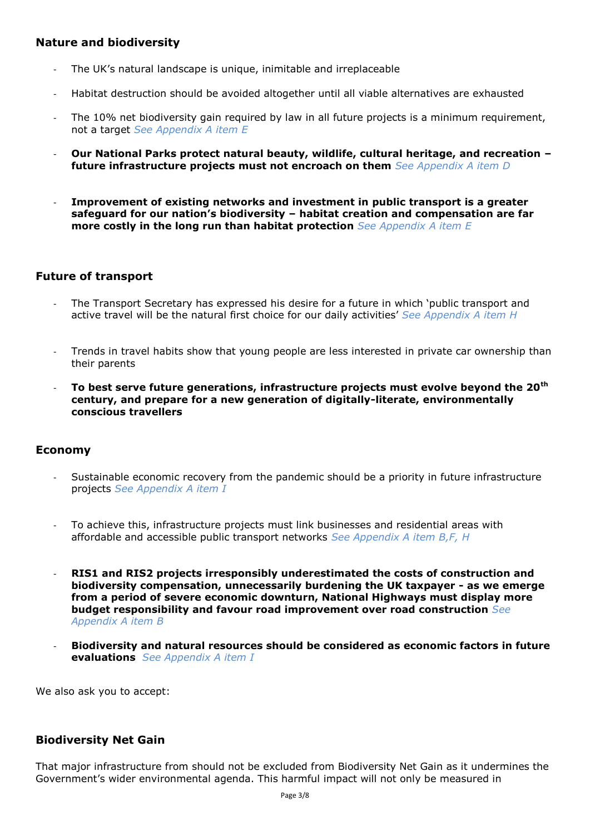## **Nature and biodiversity**

- The UK's natural landscape is unique, inimitable and irreplaceable
- Habitat destruction should be avoided altogether until all viable alternatives are exhausted
- The 10% net biodiversity gain required by law in all future projects is a minimum requirement, not a target *See Appendix A item E*
- **Our National Parks protect natural beauty, wildlife, cultural heritage, and recreation – future infrastructure projects must not encroach on them** *See Appendix A item D*
- **Improvement of existing networks and investment in public transport is a greater safeguard for our nation's biodiversity – habitat creation and compensation are far more costly in the long run than habitat protection** *See Appendix A item E*

## **Future of transport**

- The Transport Secretary has expressed his desire for a future in which 'public transport and active travel will be the natural first choice for our daily activities' *See Appendix A item H*
- Trends in travel habits show that young people are less interested in private car ownership than their parents
- **To best serve future generations, infrastructure projects must evolve beyond the 20th century, and prepare for a new generation of digitally-literate, environmentally conscious travellers**

### **Economy**

- Sustainable economic recovery from the pandemic should be a priority in future infrastructure projects *See Appendix A item I*
- To achieve this, infrastructure projects must link businesses and residential areas with affordable and accessible public transport networks *See Appendix A item B,F, H*
- **RIS1 and RIS2 projects irresponsibly underestimated the costs of construction and biodiversity compensation, unnecessarily burdening the UK taxpayer - as we emerge from a period of severe economic downturn, National Highways must display more budget responsibility and favour road improvement over road construction** *See Appendix A item B*
- **Biodiversity and natural resources should be considered as economic factors in future evaluations** *See Appendix A item I*

We also ask you to accept:

### **Biodiversity Net Gain**

That major infrastructure from should not be excluded from Biodiversity Net Gain as it undermines the Government's wider environmental agenda. This harmful impact will not only be measured in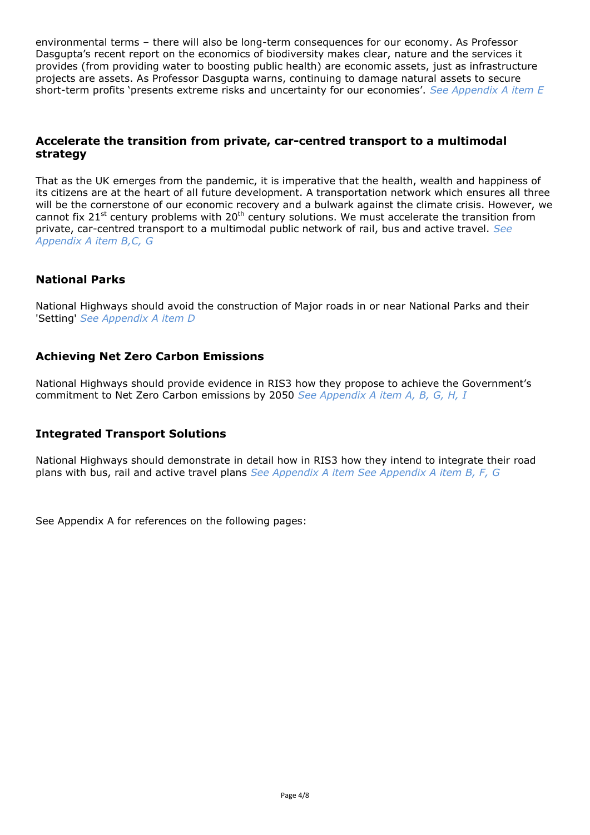environmental terms – there will also be long-term consequences for our economy. As Professor Dasgupta's recent report on the economics of biodiversity makes clear, nature and the services it provides (from providing water to boosting public health) are economic assets, just as infrastructure projects are assets. As Professor Dasgupta warns, continuing to damage natural assets to secure short-term profits 'presents extreme risks and uncertainty for our economies'. *See Appendix A item E*

## **Accelerate the transition from private, car-centred transport to a multimodal strategy**

That as the UK emerges from the pandemic, it is imperative that the health, wealth and happiness of its citizens are at the heart of all future development. A transportation network which ensures all three will be the cornerstone of our economic recovery and a bulwark against the climate crisis. However, we cannot fix 21<sup>st</sup> century problems with 20<sup>th</sup> century solutions. We must accelerate the transition from private, car-centred transport to a multimodal public network of rail, bus and active travel. *See Appendix A item B,C, G*

## **National Parks**

National Highways should avoid the construction of Major roads in or near National Parks and their 'Setting' *See Appendix A item D*

## **Achieving Net Zero Carbon Emissions**

National Highways should provide evidence in RIS3 how they propose to achieve the Government's commitment to Net Zero Carbon emissions by 2050 *See Appendix A item A, B, G, H, I*

## **Integrated Transport Solutions**

National Highways should demonstrate in detail how in RIS3 how they intend to integrate their road plans with bus, rail and active travel plans *See Appendix A item See Appendix A item B, F, G*

See Appendix A for references on the following pages: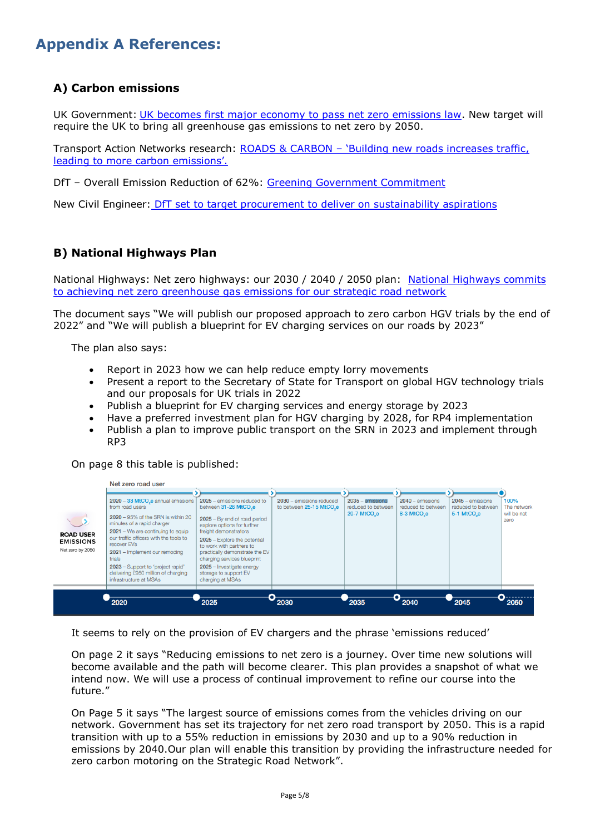# **Appendix A References:**

# **A) Carbon emissions**

UK Government: [UK becomes first major economy to pass net zero emissions law.](https://www.gov.uk/government/news/uk-becomes-first-major-economy-to-pass-net-zero-emissions-law) New target will require the UK to bring all greenhouse gas emissions to net zero by 2050.

Transport Action Networks research: ROADS & CARBON – ['Building new roads increases traffic,](https://transportactionnetwork.org.uk/campaign/climate-change/ris2-road-carbon/)  [leading to more carbon emissions'.](https://transportactionnetwork.org.uk/campaign/climate-change/ris2-road-carbon/)

DfT – Overall Emission Reduction of 62%: [Greening Government Commitment](https://www.gov.uk/government/publications/greening-government-commitments-2021-to-2025/greening-government-commitments-2021-to-2025)

New Civil Engineer: [DfT set to target procurement to deliver on sustainability aspirations](https://www.newcivilengineer.com/latest/dft-set-to-target-procurement-to-deliver-on-sustainability-aspirations-09-11-2021/)

# **B) National Highways Plan**

National Highways: Net zero highways: our 2030 / 2040 / 2050 plan: [National Highways commits](https://nationalhighways.co.uk/media/eispcjem/net-zero-highways-our-2030-2040-2050-plan.pdf)  [to achieving net zero greenhouse gas emissions for our strategic road network](https://nationalhighways.co.uk/media/eispcjem/net-zero-highways-our-2030-2040-2050-plan.pdf)

The document says "We will publish our proposed approach to zero carbon HGV trials by the end of 2022" and "We will publish a blueprint for EV charging services on our roads by 2023"

The plan also says:

- Report in 2023 how we can help reduce empty lorry movements
- Present a report to the Secretary of State for Transport on global HGV technology trials and our proposals for UK trials in 2022
- Publish a blueprint for EV charging services and energy storage by 2023
- Have a preferred investment plan for HGV charging by 2028, for RP4 implementation
- Publish a plan to improve public transport on the SRN in 2023 and implement through RP3

On page 8 this table is published:



It seems to rely on the provision of EV chargers and the phrase 'emissions reduced'

On page 2 it says "Reducing emissions to net zero is a journey. Over time new solutions will become available and the path will become clearer. This plan provides a snapshot of what we intend now. We will use a process of continual improvement to refine our course into the future."

On Page 5 it says "The largest source of emissions comes from the vehicles driving on our network. Government has set its trajectory for net zero road transport by 2050. This is a rapid transition with up to a 55% reduction in emissions by 2030 and up to a 90% reduction in emissions by 2040.Our plan will enable this transition by providing the infrastructure needed for zero carbon motoring on the Strategic Road Network".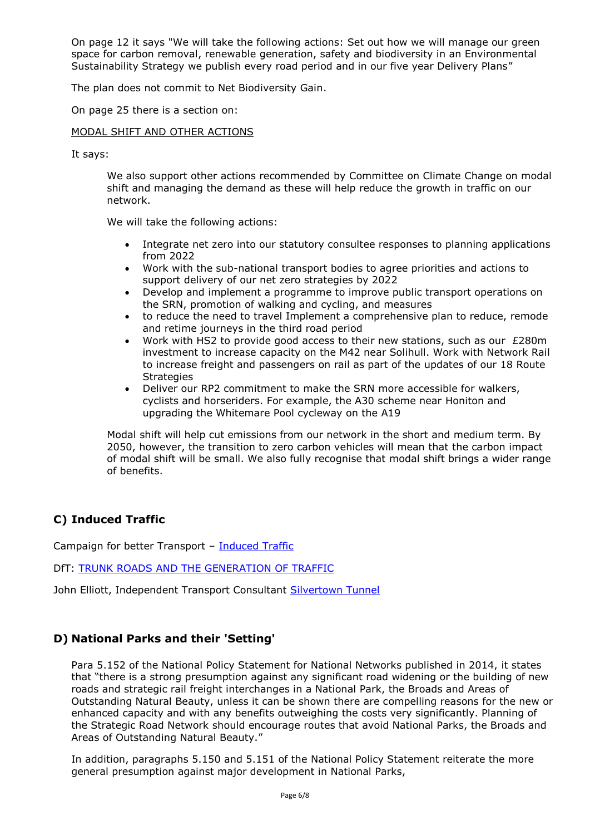On page 12 it says "We will take the following actions: Set out how we will manage our green space for carbon removal, renewable generation, safety and biodiversity in an Environmental Sustainability Strategy we publish every road period and in our five year Delivery Plans"

The plan does not commit to Net Biodiversity Gain.

On page 25 there is a section on:

#### MODAL SHIFT AND OTHER ACTIONS

It says:

We also support other actions recommended by Committee on Climate Change on modal shift and managing the demand as these will help reduce the growth in traffic on our network.

We will take the following actions:

- Integrate net zero into our statutory consultee responses to planning applications from 2022
- Work with the sub-national transport bodies to agree priorities and actions to support delivery of our net zero strategies by 2022
- Develop and implement a programme to improve public transport operations on the SRN, promotion of walking and cycling, and measures
- to reduce the need to travel Implement a comprehensive plan to reduce, remode and retime journeys in the third road period
- Work with HS2 to provide good access to their new stations, such as our £280m investment to increase capacity on the M42 near Solihull. Work with Network Rail to increase freight and passengers on rail as part of the updates of our 18 Route **Strategies**
- Deliver our RP2 commitment to make the SRN more accessible for walkers, cyclists and horseriders. For example, the A30 scheme near Honiton and upgrading the Whitemare Pool cycleway on the A19

Modal shift will help cut emissions from our network in the short and medium term. By 2050, however, the transition to zero carbon vehicles will mean that the carbon impact of modal shift will be small. We also fully recognise that modal shift brings a wider range of benefits.

## **C) Induced Traffic**

Campaign for better Transport – [Induced Traffic](https://bettertransport.org.uk/roads-nowhere/induced-traffic)

DfT: [TRUNK ROADS AND THE GENERATION OF TRAFFIC](https://bettertransport.org.uk/sites/default/files/trunk-roads-traffic-report.pdf)

John Elliott, Independent Transport Consultant [Silvertown Tunnel](https://silvertowntunnel.co.uk/2013/11/09/october-16th-public-meeting-part-4-john-elliot-independent-transport-consultant/)

## **D) National Parks and their 'Setting'**

Para 5.152 of the National Policy Statement for National Networks published in 2014, it states that "there is a strong presumption against any significant road widening or the building of new roads and strategic rail freight interchanges in a National Park, the Broads and Areas of Outstanding Natural Beauty, unless it can be shown there are compelling reasons for the new or enhanced capacity and with any benefits outweighing the costs very significantly. Planning of the Strategic Road Network should encourage routes that avoid National Parks, the Broads and Areas of Outstanding Natural Beauty."

In addition, paragraphs 5.150 and 5.151 of the National Policy Statement reiterate the more general presumption against major development in National Parks,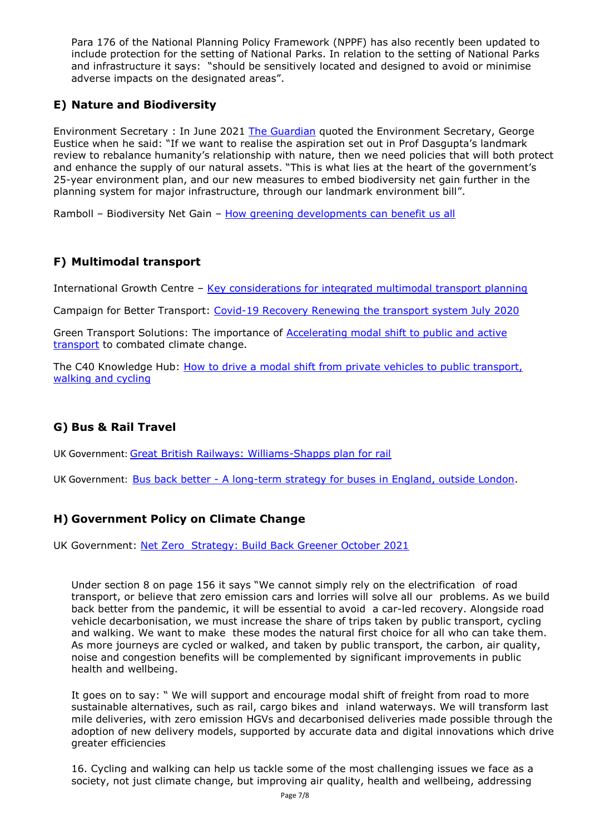Para 176 of the National Planning Policy Framework (NPPF) has also recently been updated to include protection for the setting of National Parks. In relation to the setting of National Parks and infrastructure it says: "should be sensitively located and designed to avoid or minimise adverse impacts on the designated areas".

# **E) Nature and Biodiversity**

Environment Secretary : In June 2021 [The Guardian](https://www.theguardian.com/environment/2021/jun/14/england-infrastructure-projects-will-be-nature-positive-ministers-vow-age-of-extinction) quoted the Environment Secretary, George Eustice when he said: "If we want to realise the aspiration set out in Prof Dasgupta's landmark review to rebalance humanity's relationship with nature, then we need policies that will both protect and enhance the supply of our natural assets. "This is what lies at the heart of the government's 25-year environment plan, and our new measures to embed biodiversity net gain further in the planning system for major infrastructure, through our landmark environment bill".

Ramboll – Biodiversity Net Gain – [How greening developments can benefit us all](https://ramboll.com/ingenuity/biodiversity-net-gain-how-greening-developments-can-benefit-us-all)

# **F) Multimodal transport**

International Growth Centre - [Key considerations for integrated multimodal transport planning](https://www.theigc.org/wp-content/uploads/2019/02/Integrated-multi-modal-transport-planning-FINAL-Jan2019.pdf)

Campaign for Better Transport: [Covid-19 Recovery Renewing the transport system July 2020](https://bettertransport.org.uk/sites/default/files/trunk-roads-traffic-report.pdf)

Green Transport Solutions: The importance of [Accelerating modal shift to public and active](https://greenertransportsolutions.com/insight/accelerating-modal-shift-to-public-and-active-transport/)  [transport](https://greenertransportsolutions.com/insight/accelerating-modal-shift-to-public-and-active-transport/) to combated climate change.

The C40 Knowledge Hub: [How to drive a modal shift from private vehicles to public transport,](https://www.c40knowledgehub.org/s/article/How-to-drive-a-modal-shift-from-private-vehicle-use-to-public-transport-walking-and-cycling?language=en_US)  [walking and cycling](https://www.c40knowledgehub.org/s/article/How-to-drive-a-modal-shift-from-private-vehicle-use-to-public-transport-walking-and-cycling?language=en_US)

# **G) Bus & Rail Travel**

UK Government: [Great British Railways: Williams-Shapps plan for rail](https://www.gov.uk/government/publications/great-british-railways-williams-shapps-plan-for-rail)

UK Government: Bus back better - [A long-term strategy for buses in England, outside London.](https://www.gov.uk/government/publications/bus-back-better)

# **H) Government Policy on Climate Change**

UK Government: Net Zero [Strategy: Build Back Greener October 2021](https://www.gov.uk/government/publications/net-zero-strategy)

Under section 8 on page 156 it says "We cannot simply rely on the electrification of road transport, or believe that zero emission cars and lorries will solve all our problems. As we build back better from the pandemic, it will be essential to avoid a car-led recovery. Alongside road vehicle decarbonisation, we must increase the share of trips taken by public transport, cycling and walking. We want to make these modes the natural first choice for all who can take them. As more journeys are cycled or walked, and taken by public transport, the carbon, air quality, noise and congestion benefits will be complemented by significant improvements in public health and wellbeing.

It goes on to say: " We will support and encourage modal shift of freight from road to more sustainable alternatives, such as rail, cargo bikes and inland waterways. We will transform last mile deliveries, with zero emission HGVs and decarbonised deliveries made possible through the adoption of new delivery models, supported by accurate data and digital innovations which drive greater efficiencies

16. Cycling and walking can help us tackle some of the most challenging issues we face as a society, not just climate change, but improving air quality, health and wellbeing, addressing